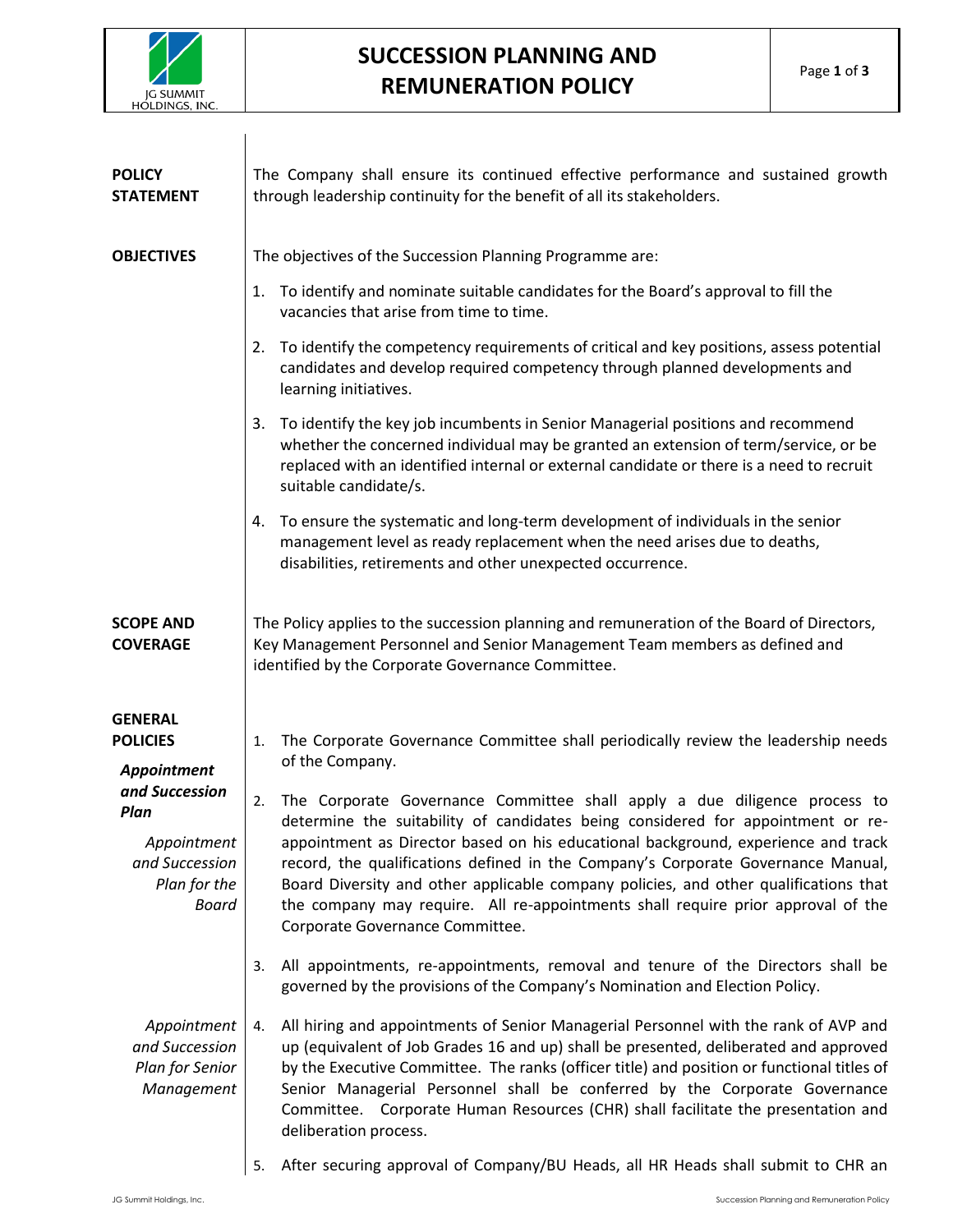

## **SUCCESSION PLANNING AND REMUNERATION POLICY**

| <b>POLICY</b><br><b>STATEMENT</b>                                                       | The Company shall ensure its continued effective performance and sustained growth<br>through leadership continuity for the benefit of all its stakeholders.                                                                                                                                                                                                                                                                                                                                                                                                |
|-----------------------------------------------------------------------------------------|------------------------------------------------------------------------------------------------------------------------------------------------------------------------------------------------------------------------------------------------------------------------------------------------------------------------------------------------------------------------------------------------------------------------------------------------------------------------------------------------------------------------------------------------------------|
| <b>OBJECTIVES</b>                                                                       | The objectives of the Succession Planning Programme are:                                                                                                                                                                                                                                                                                                                                                                                                                                                                                                   |
|                                                                                         | To identify and nominate suitable candidates for the Board's approval to fill the<br>1.<br>vacancies that arise from time to time.                                                                                                                                                                                                                                                                                                                                                                                                                         |
|                                                                                         | To identify the competency requirements of critical and key positions, assess potential<br>2.<br>candidates and develop required competency through planned developments and<br>learning initiatives.                                                                                                                                                                                                                                                                                                                                                      |
|                                                                                         | To identify the key job incumbents in Senior Managerial positions and recommend<br>3.<br>whether the concerned individual may be granted an extension of term/service, or be<br>replaced with an identified internal or external candidate or there is a need to recruit<br>suitable candidate/s.                                                                                                                                                                                                                                                          |
|                                                                                         | To ensure the systematic and long-term development of individuals in the senior<br>4.<br>management level as ready replacement when the need arises due to deaths,<br>disabilities, retirements and other unexpected occurrence.                                                                                                                                                                                                                                                                                                                           |
| <b>SCOPE AND</b><br><b>COVERAGE</b>                                                     | The Policy applies to the succession planning and remuneration of the Board of Directors,<br>Key Management Personnel and Senior Management Team members as defined and<br>identified by the Corporate Governance Committee.                                                                                                                                                                                                                                                                                                                               |
| <b>GENERAL</b><br><b>POLICIES</b><br>Appointment                                        | The Corporate Governance Committee shall periodically review the leadership needs<br>1.<br>of the Company.                                                                                                                                                                                                                                                                                                                                                                                                                                                 |
| and Succession<br>Plan<br>Appointment<br>and Succession<br>Plan for the<br><b>Board</b> | The Corporate Governance Committee shall apply a due diligence process to<br>2.<br>determine the suitability of candidates being considered for appointment or re-<br>appointment as Director based on his educational background, experience and track<br>record, the qualifications defined in the Company's Corporate Governance Manual,<br>Board Diversity and other applicable company policies, and other qualifications that<br>the company may require. All re-appointments shall require prior approval of the<br>Corporate Governance Committee. |
|                                                                                         | All appointments, re-appointments, removal and tenure of the Directors shall be<br>3.<br>governed by the provisions of the Company's Nomination and Election Policy.                                                                                                                                                                                                                                                                                                                                                                                       |
| Appointment<br>and Succession<br>Plan for Senior<br>Management                          | All hiring and appointments of Senior Managerial Personnel with the rank of AVP and<br>4.<br>up (equivalent of Job Grades 16 and up) shall be presented, deliberated and approved<br>by the Executive Committee. The ranks (officer title) and position or functional titles of<br>Senior Managerial Personnel shall be conferred by the Corporate Governance<br>Committee. Corporate Human Resources (CHR) shall facilitate the presentation and<br>deliberation process.                                                                                 |
|                                                                                         | After securing approval of Company/BU Heads, all HR Heads shall submit to CHR an<br>5.                                                                                                                                                                                                                                                                                                                                                                                                                                                                     |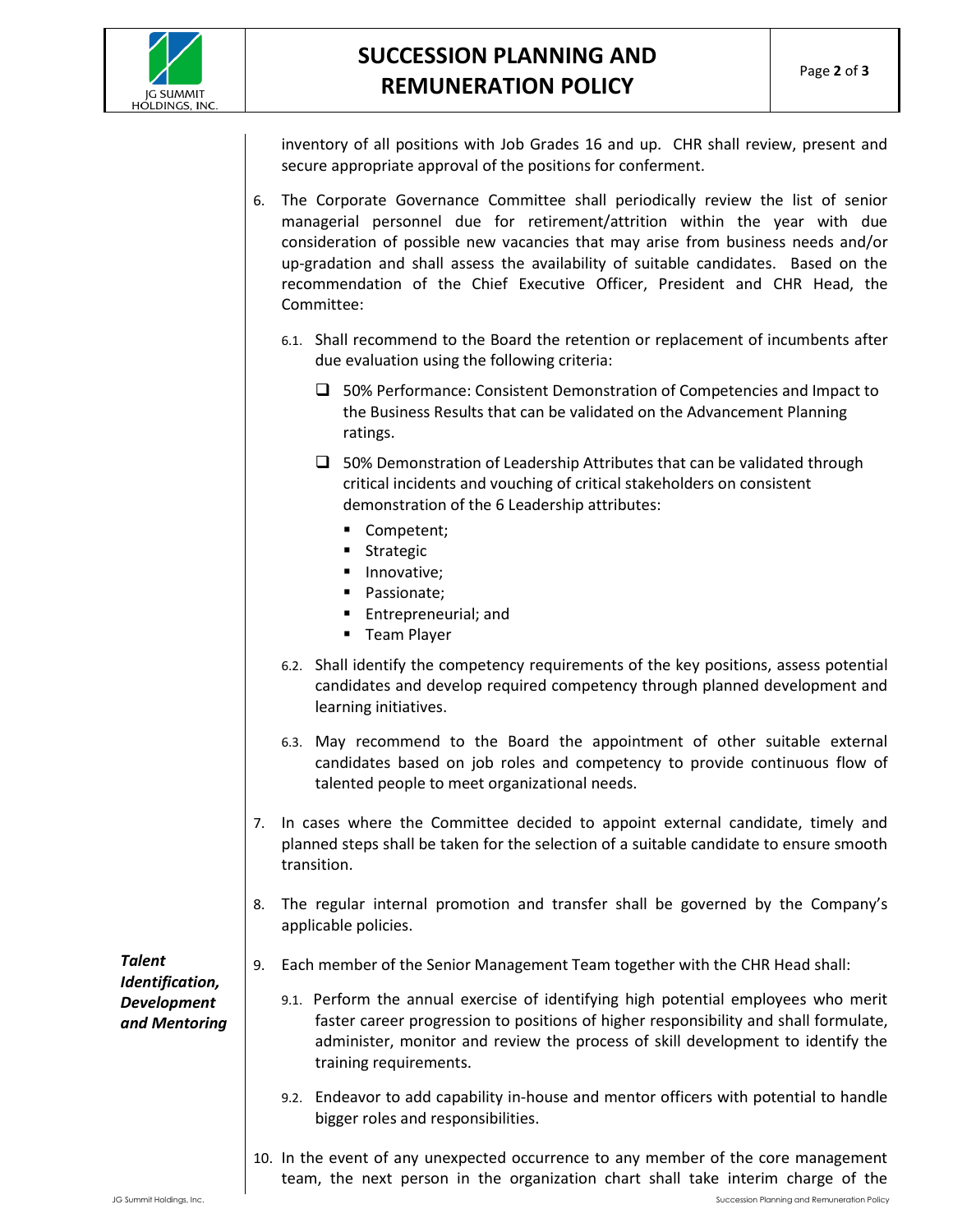

## **SUCCESSION PLANNING AND REMUNERATION POLICY**

inventory of all positions with Job Grades 16 and up. CHR shall review, present and secure appropriate approval of the positions for conferment.

- 6. The Corporate Governance Committee shall periodically review the list of senior managerial personnel due for retirement/attrition within the year with due consideration of possible new vacancies that may arise from business needs and/or up-gradation and shall assess the availability of suitable candidates. Based on the recommendation of the Chief Executive Officer, President and CHR Head, the Committee:
	- 6.1. Shall recommend to the Board the retention or replacement of incumbents after due evaluation using the following criteria:
		- □ 50% Performance: Consistent Demonstration of Competencies and Impact to the Business Results that can be validated on the Advancement Planning ratings.
		- $\square$  50% Demonstration of Leadership Attributes that can be validated through critical incidents and vouching of critical stakeholders on consistent demonstration of the 6 Leadership attributes:
			- Competent;
			- Strategic
			- **·** Innovative;
			- Passionate;
			- Entrepreneurial; and
			- **■** Team Player
	- 6.2. Shall identify the competency requirements of the key positions, assess potential candidates and develop required competency through planned development and learning initiatives.
	- 6.3. May recommend to the Board the appointment of other suitable external candidates based on job roles and competency to provide continuous flow of talented people to meet organizational needs.
- 7. In cases where the Committee decided to appoint external candidate, timely and planned steps shall be taken for the selection of a suitable candidate to ensure smooth transition.
- 8. The regular internal promotion and transfer shall be governed by the Company's applicable policies.

*Talent Identification, Development and Mentoring*

- 9. Each member of the Senior Management Team together with the CHR Head shall:
	- 9.1. Perform the annual exercise of identifying high potential employees who merit faster career progression to positions of higher responsibility and shall formulate, administer, monitor and review the process of skill development to identify the training requirements.
	- 9.2. Endeavor to add capability in-house and mentor officers with potential to handle bigger roles and responsibilities.
- 10. In the event of any unexpected occurrence to any member of the core management team, the next person in the organization chart shall take interim charge of the